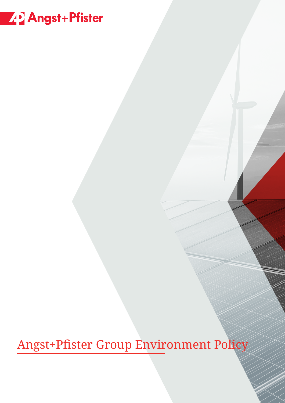# Z 2 Angst + Pfister

Angst+Pfister Group Environment Policy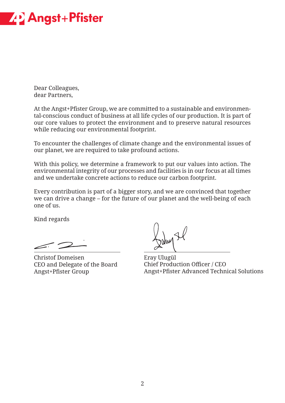

Dear Colleagues, dear Partners,

At the Angst+Pfister Group, we are committed to a sustainable and environmental-conscious conduct of business at all life cycles of our production. It is part of our core values to protect the environment and to preserve natural resources while reducing our environmental footprint.

To encounter the challenges of climate change and the environmental issues of our planet, we are required to take profound actions.

With this policy, we determine a framework to put our values into action. The environmental integrity of our processes and facilities is in our focus at all times and we undertake concrete actions to reduce our carbon footprint.

Every contribution is part of a bigger story, and we are convinced that together we can drive a change – for the future of our planet and the well-being of each one of us.

Kind regards

Christof Domeisen CEO and Delegate of the Board Angst+Pfister Group

Eray Ulugül Chief Production Officer / CEO Angst+Pfister Advanced Technical Solutions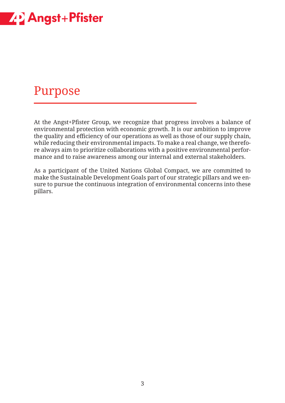

#### Purpose

At the Angst+Pfister Group, we recognize that progress involves a balance of environmental protection with economic growth. It is our ambition to improve the quality and efficiency of our operations as well as those of our supply chain, while reducing their environmental impacts. To make a real change, we therefore always aim to prioritize collaborations with a positive environmental performance and to raise awareness among our internal and external stakeholders.

As a participant of the United Nations Global Compact, we are committed to make the Sustainable Development Goals part of our strategic pillars and we ensure to pursue the continuous integration of environmental concerns into these pillars.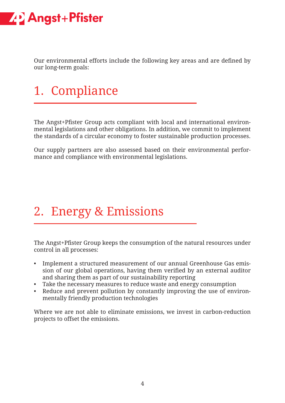

Our environmental efforts include the following key areas and are defined by our long-term goals:

### 1. Compliance

The Angst+Pfister Group acts compliant with local and international environmental legislations and other obligations. In addition, we commit to implement the standards of a circular economy to foster sustainable production processes.

Our supply partners are also assessed based on their environmental performance and compliance with environmental legislations.

### 2. Energy & Emissions

The Angst+Pfister Group keeps the consumption of the natural resources under control in all processes:

- Implement a structured measurement of our annual Greenhouse Gas emission of our global operations, having them verified by an external auditor and sharing them as part of our sustainability reporting
- Take the necessary measures to reduce waste and energy consumption
- Reduce and prevent pollution by constantly improving the use of environmentally friendly production technologies

Where we are not able to eliminate emissions, we invest in carbon-reduction projects to offset the emissions.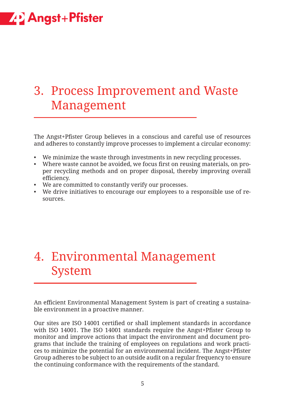### **ZP Angst+Pfister**

#### 3. Process Improvement and Waste Management

The Angst+Pfister Group believes in a conscious and careful use of resources and adheres to constantly improve processes to implement a circular economy:

- We minimize the waste through investments in new recycling processes.
- Where waste cannot be avoided, we focus first on reusing materials, on proper recycling methods and on proper disposal, thereby improving overall efficiency.
- We are committed to constantly verify our processes.
- We drive initiatives to encourage our employees to a responsible use of resources.

### 4. Environmental Management System

An efficient Environmental Management System is part of creating a sustainable environment in a proactive manner.

Our sites are ISO 14001 certified or shall implement standards in accordance with ISO 14001. The ISO 14001 standards require the Angst+Pfister Group to monitor and improve actions that impact the environment and document programs that include the training of employees on regulations and work practices to minimize the potential for an environmental incident. The Angst+Pfister Group adheres to be subject to an outside audit on a regular frequency to ensure the continuing conformance with the requirements of the standard.